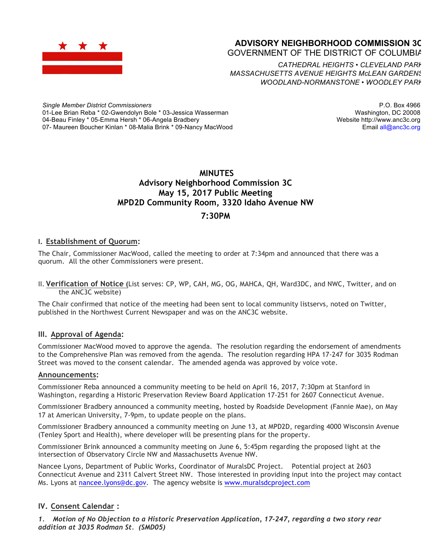

## **ADVISORY NEIGHBORHOOD COMMISSION 3C** GOVERNMENT OF THE DISTRICT OF COLUMBIA

*CATHEDRAL HEIGHTS* • *CLEVELAND PARK MASSACHUSETTS AVENUE HEIGHTS McLEAN GARDENS WOODLAND-NORMANSTONE* • *WOODLEY PARK*

*Single Member District Commissioners* 01-Lee Brian Reba \* 02-Gwendolyn Bole \* 03-Jessica Wasserman 04-Beau Finley \* 05-Emma Hersh \* 06-Angela Bradbery 07- Maureen Boucher Kinlan \* 08-Malia Brink \* 09-Nancy MacWood

P.O. Box 4966 Washington, DC 20008 Website http://www.anc3c.org Email all@anc3c.org

## **MINUTES Advisory Neighborhood Commission 3C May 15, 2017 Public Meeting MPD2D Community Room, 3320 Idaho Avenue NW 7:30PM**

## **I. Establishment of Quorum:**

The Chair, Commissioner MacWood, called the meeting to order at 7:34pm and announced that there was a quorum. All the other Commissioners were present.

II. **Verification of Notice (**List serves: CP, WP, CAH, MG, OG, MAHCA, QH, Ward3DC, and NWC, Twitter, and on the ANC3C website)

The Chair confirmed that notice of the meeting had been sent to local community listservs, noted on Twitter, published in the Northwest Current Newspaper and was on the ANC3C website.

### **III. Approval of Agenda:**

Commissioner MacWood moved to approve the agenda. The resolution regarding the endorsement of amendments to the Comprehensive Plan was removed from the agenda. The resolution regarding HPA 17-247 for 3035 Rodman Street was moved to the consent calendar. The amended agenda was approved by voice vote.

#### **Announcements:**

Commissioner Reba announced a community meeting to be held on April 16, 2017, 7:30pm at Stanford in Washington, regarding a Historic Preservation Review Board Application 17-251 for 2607 Connecticut Avenue.

Commissioner Bradbery announced a community meeting, hosted by Roadside Development (Fannie Mae), on May 17 at American University, 7-9pm, to update people on the plans.

Commissioner Bradbery announced a community meeting on June 13, at MPD2D, regarding 4000 Wisconsin Avenue (Tenley Sport and Health), where developer will be presenting plans for the property.

Commissioner Brink announced a community meeting on June 6, 5:45pm regarding the proposed light at the intersection of Observatory Circle NW and Massachusetts Avenue NW.

Nancee Lyons, Department of Public Works, Coordinator of MuralsDC Project. Potential project at 2603 Connecticut Avenue and 2311 Calvert Street NW. Those interested in providing input into the project may contact Ms. Lyons at nancee.lyons@dc.gov. The agency website is www.muralsdcproject.com

## **IV. Consent Calendar :**

*1. Motion of No Objection to a Historic Preservation Application, 17-247, regarding a two story rear addition at 3035 Rodman St. (SMD05)*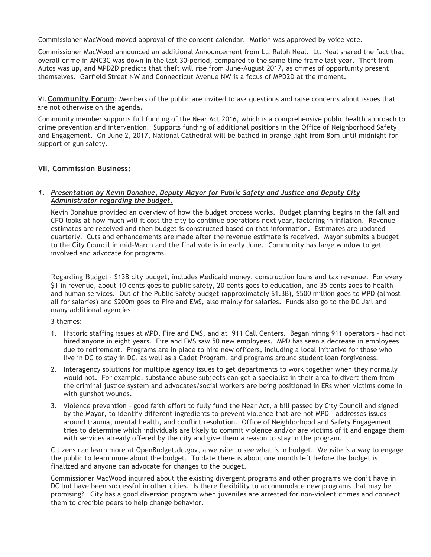Commissioner MacWood moved approval of the consent calendar. Motion was approved by voice vote.

Commissioner MacWood announced an additional Announcement from Lt. Ralph Neal. Lt. Neal shared the fact that overall crime in ANC3C was down in the last 30-period, compared to the same time frame last year. Theft from Autos was up, and MPD2D predicts that theft will rise from June-August 2017, as crimes of opportunity present themselves. Garfield Street NW and Connecticut Avenue NW is a focus of MPD2D at the moment.

VI.**Community Forum**: Members of the public are invited to ask questions and raise concerns about issues that are not otherwise on the agenda.

Community member supports full funding of the Near Act 2016, which is a comprehensive public health approach to crime prevention and intervention. Supports funding of additional positions in the Office of Neighborhood Safety and Engagement. On June 2, 2017, National Cathedral will be bathed in orange light from 8pm until midnight for support of gun safety.

### **VII. Commission Business:**

#### *1. Presentation by Kevin Donahue, Deputy Mayor for Public Safety and Justice and Deputy City Administrator regarding the budget.*

Kevin Donahue provided an overview of how the budget process works. Budget planning begins in the fall and CFO looks at how much will it cost the city to continue operations next year, factoring in inflation. Revenue estimates are received and then budget is constructed based on that information. Estimates are updated quarterly. Cuts and enhancements are made after the revenue estimate is received. Mayor submits a budget to the City Council in mid-March and the final vote is in early June. Community has large window to get involved and advocate for programs.

Regarding Budget - \$13B city budget, includes Medicaid money, construction loans and tax revenue. For every \$1 in revenue, about 10 cents goes to public safety, 20 cents goes to education, and 35 cents goes to health and human services. Out of the Public Safety budget (approximately \$1.3B), \$500 million goes to MPD (almost all for salaries) and \$200m goes to Fire and EMS, also mainly for salaries. Funds also go to the DC Jail and many additional agencies.

### 3 themes:

- 1. Historic staffing issues at MPD, Fire and EMS, and at 911 Call Centers. Began hiring 911 operators had not hired anyone in eight years. Fire and EMS saw 50 new employees. MPD has seen a decrease in employees due to retirement. Programs are in place to hire new officers, including a local Initiative for those who live in DC to stay in DC, as well as a Cadet Program, and programs around student loan forgiveness.
- 2. Interagency solutions for multiple agency issues to get departments to work together when they normally would not. For example, substance abuse subjects can get a specialist in their area to divert them from the criminal justice system and advocates/social workers are being positioned in ERs when victims come in with gunshot wounds.
- 3. Violence prevention good faith effort to fully fund the Near Act, a bill passed by City Council and signed by the Mayor, to identify different ingredients to prevent violence that are not MPD – addresses issues around trauma, mental health, and conflict resolution. Office of Neighborhood and Safety Engagement tries to determine which individuals are likely to commit violence and/or are victims of it and engage them with services already offered by the city and give them a reason to stay in the program.

Citizens can learn more at OpenBudget.dc.gov, a website to see what is in budget. Website is a way to engage the public to learn more about the budget. To date there is about one month left before the budget is finalized and anyone can advocate for changes to the budget.

Commissioner MacWood inquired about the existing divergent programs and other programs we don't have in DC but have been successful in other cities. Is there flexibility to accommodate new programs that may be promising? City has a good diversion program when juveniles are arrested for non-violent crimes and connect them to credible peers to help change behavior.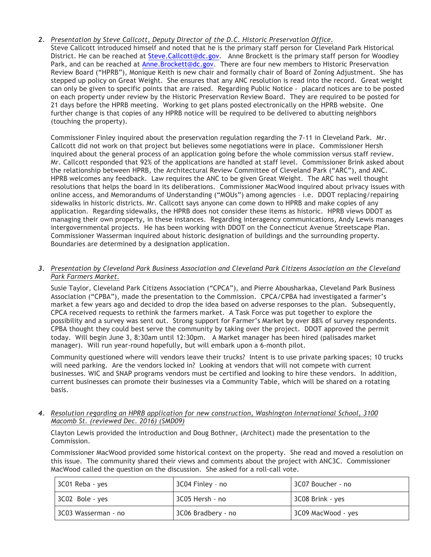#### *2. Presentation by Steve Callcott, Deputy Director of the D.C. Historic Preservation Office.* Steve Callcott introduced himself and noted that he is the primary staff person for Cleveland Park Historical

District. He can be reached at Steve.Callcott@dc.gov. Anne Brockett is the primary staff person for Woodley Park, and can be reached at Anne. Brockett@dc.gov. There are four new members to Historic Preservation Review Board ("HPRB"), Monique Keith is new chair and formally chair of Board of Zoning Adjustment. She has stepped up policy on Great Weight. She ensures that any ANC resolution is read into the record. Great weight can only be given to specific points that are raised. Regarding Public Notice - placard notices are to be posted on each property under review by the Historic Preservation Review Board. They are required to be posted for 21 days before the HPRB meeting. Working to get plans posted electronically on the HPRB website. One further change is that copies of any HPRB notice will be required to be delivered to abutting neighbors (touching the property).

Commissioner Finley inquired about the preservation regulation regarding the 7-11 in Cleveland Park. Mr. Callcott did not work on that project but believes some negotiations were in place. Commissioner Hersh inquired about the general process of an application going before the whole commission versus staff review. Mr. Callcott responded that 92% of the applications are handled at staff level. Commissioner Brink asked about the relationship between HPRB, the Architectural Review Committee of Cleveland Park ("ARC"), and ANC. HPRB welcomes any feedback. Law requires the ANC to be given Great Weight. The ARC has well thought resolutions that helps the board in its deliberations. Commissioner MacWood inquired about privacy issues with online access, and Memorandums of Understanding ("MOUs") among agencies – i.e. DDOT replacing/repairing sidewalks in historic districts. Mr. Callcott says anyone can come down to HPRB and make copies of any application. Regarding sidewalks, the HPRB does not consider these items as historic. HPRB views DDOT as managing their own property, in these instances. Regarding interagency communications, Andy Lewis manages intergovernmental projects. He has been working with DDOT on the Connecticut Avenue Streetscape Plan. Commissioner Wasserman inquired about historic designation of buildings and the surrounding property. Boundaries are determined by a designation application.

### *3. Presentation by Cleveland Park Business Association and Cleveland Park Citizens Association on the Cleveland Park Farmers Market.*

Susie Taylor, Cleveland Park Citizens Association ("CPCA"), and Pierre Abousharkaa, Cleveland Park Business Association ("CPBA"), made the presentation to the Commission. CPCA/CPBA had investigated a farmer's market a few years ago and decided to drop the idea based on adverse responses to the plan. Subsequently, CPCA received requests to rethink the farmers market. A Task Force was put together to explore the possibility and a survey was sent out. Strong support for Farmer's Market by over 88% of survey respondents. CPBA thought they could best serve the community by taking over the project. DDOT approved the permit today. Will begin June 3, 8:30am until 12:30pm. A Market manager has been hired (palisades market manager). Will run year-round hopefully, but will embark upon a 6-month pilot.

Community questioned where will vendors leave their trucks? Intent is to use private parking spaces; 10 trucks will need parking. Are the vendors locked in? Looking at vendors that will not compete with current businesses. WIC and SNAP programs vendors must be certified and looking to hire these vendors. In addition, current businesses can promote their businesses via a Community Table, which will be shared on a rotating basis.

#### *4. Resolution regarding an HPRB application for new construction, Washington International School, 3100 Macomb St. (reviewed Dec. 2016) (SMD09)*

Clayton Lewis provided the introduction and Doug Bothner, (Architect) made the presentation to the Commission.

Commissioner MacWood provided some historical context on the property. She read and moved a resolution on this issue. The community shared their views and comments about the project with ANC3C. Commissioner MacWood called the question on the discussion. She asked for a roll-call vote.

| $3C01$ Reba - yes       | 3C04 Finley - no   | 3C07 Boucher - no  |
|-------------------------|--------------------|--------------------|
| $\vert$ 3C02 Bole - yes | 3C05 Hersh - no    | 3C08 Brink - yes   |
| 3C03 Wasserman - no     | 3C06 Bradbery - no | 3C09 MacWood - yes |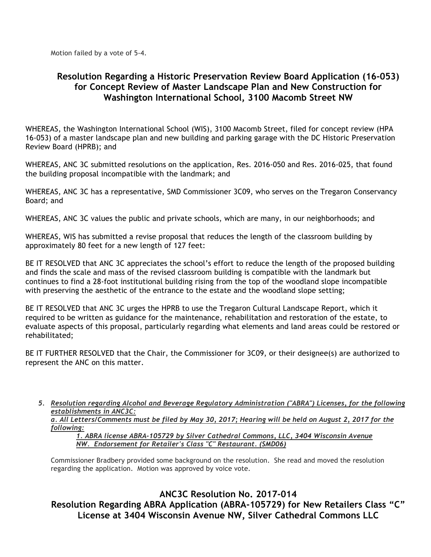Motion failed by a vote of 5-4.

# **Resolution Regarding a Historic Preservation Review Board Application (16-053) for Concept Review of Master Landscape Plan and New Construction for Washington International School, 3100 Macomb Street NW**

WHEREAS, the Washington International School (WIS), 3100 Macomb Street, filed for concept review (HPA 16-053) of a master landscape plan and new building and parking garage with the DC Historic Preservation Review Board (HPRB); and

WHEREAS, ANC 3C submitted resolutions on the application, Res. 2016-050 and Res. 2016-025, that found the building proposal incompatible with the landmark; and

WHEREAS, ANC 3C has a representative, SMD Commissioner 3C09, who serves on the Tregaron Conservancy Board; and

WHEREAS, ANC 3C values the public and private schools, which are many, in our neighborhoods; and

WHEREAS, WIS has submitted a revise proposal that reduces the length of the classroom building by approximately 80 feet for a new length of 127 feet:

BE IT RESOLVED that ANC 3C appreciates the school's effort to reduce the length of the proposed building and finds the scale and mass of the revised classroom building is compatible with the landmark but continues to find a 28-foot institutional building rising from the top of the woodland slope incompatible with preserving the aesthetic of the entrance to the estate and the woodland slope setting;

BE IT RESOLVED that ANC 3C urges the HPRB to use the Tregaron Cultural Landscape Report, which it required to be written as guidance for the maintenance, rehabilitation and restoration of the estate, to evaluate aspects of this proposal, particularly regarding what elements and land areas could be restored or rehabilitated;

BE IT FURTHER RESOLVED that the Chair, the Commissioner for 3C09, or their designee(s) are authorized to represent the ANC on this matter.

*5. Resolution regarding Alcohol and Beverage Regulatory Administration ("ABRA") Licenses, for the following establishments in ANC3C:*

a. All Letters/Comments must be filed by May 30, 2017; Hearing will be held on August 2, 2017 for the *following:*

*1. ABRA license ABRA-105729 by Silver Cathedral Commons, LLC, 3404 Wisconsin Avenue NW. Endorsement for Retailer's Class "C" Restaurant. (SMD06)*

Commissioner Bradbery provided some background on the resolution. She read and moved the resolution regarding the application. Motion was approved by voice vote.

**ANC3C Resolution No. 2017-014 Resolution Regarding ABRA Application (ABRA-105729) for New Retailers Class "C" License at 3404 Wisconsin Avenue NW, Silver Cathedral Commons LLC**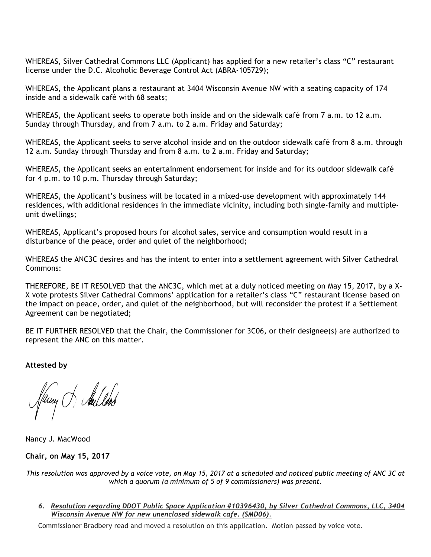WHEREAS, Silver Cathedral Commons LLC (Applicant) has applied for a new retailer's class "C" restaurant license under the D.C. Alcoholic Beverage Control Act (ABRA-105729);

WHEREAS, the Applicant plans a restaurant at 3404 Wisconsin Avenue NW with a seating capacity of 174 inside and a sidewalk café with 68 seats;

WHEREAS, the Applicant seeks to operate both inside and on the sidewalk café from 7 a.m. to 12 a.m. Sunday through Thursday, and from 7 a.m. to 2 a.m. Friday and Saturday;

WHEREAS, the Applicant seeks to serve alcohol inside and on the outdoor sidewalk café from 8 a.m. through 12 a.m. Sunday through Thursday and from 8 a.m. to 2 a.m. Friday and Saturday;

WHEREAS, the Applicant seeks an entertainment endorsement for inside and for its outdoor sidewalk café for 4 p.m. to 10 p.m. Thursday through Saturday;

WHEREAS, the Applicant's business will be located in a mixed-use development with approximately 144 residences, with additional residences in the immediate vicinity, including both single-family and multipleunit dwellings;

WHEREAS, Applicant's proposed hours for alcohol sales, service and consumption would result in a disturbance of the peace, order and quiet of the neighborhood;

WHEREAS the ANC3C desires and has the intent to enter into a settlement agreement with Silver Cathedral Commons:

THEREFORE, BE IT RESOLVED that the ANC3C, which met at a duly noticed meeting on May 15, 2017, by a X-X vote protests Silver Cathedral Commons' application for a retailer's class "C" restaurant license based on the impact on peace, order, and quiet of the neighborhood, but will reconsider the protest if a Settlement Agreement can be negotiated;

BE IT FURTHER RESOLVED that the Chair, the Commissioner for 3C06, or their designee(s) are authorized to represent the ANC on this matter.

**Attested by**

fluny of Aullook

Nancy J. MacWood

**Chair, on May 15, 2017**

This resolution was approved by a voice vote, on May 15, 2017 at a scheduled and noticed public meeting of ANC 3C at *which a quorum (a minimum of 5 of 9 commissioners) was present.*

*6. Resolution regarding DDOT Public Space Application #10396430, by Silver Cathedral Commons, LLC, 3404 Wisconsin Avenue NW for new unenclosed sidewalk cafe. (SMD06).*

Commissioner Bradbery read and moved a resolution on this application. Motion passed by voice vote.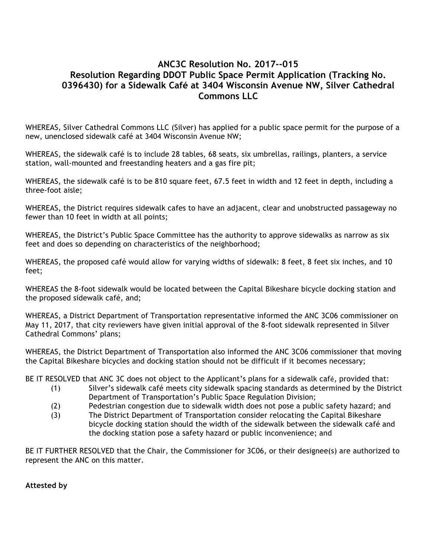# **ANC3C Resolution No. 2017--015 Resolution Regarding DDOT Public Space Permit Application (Tracking No. 0396430) for a Sidewalk Café at 3404 Wisconsin Avenue NW, Silver Cathedral Commons LLC**

WHEREAS, Silver Cathedral Commons LLC (Silver) has applied for a public space permit for the purpose of a new, unenclosed sidewalk café at 3404 Wisconsin Avenue NW;

WHEREAS, the sidewalk café is to include 28 tables, 68 seats, six umbrellas, railings, planters, a service station, wall-mounted and freestanding heaters and a gas fire pit;

WHEREAS, the sidewalk café is to be 810 square feet, 67.5 feet in width and 12 feet in depth, including a three-foot aisle;

WHEREAS, the District requires sidewalk cafes to have an adjacent, clear and unobstructed passageway no fewer than 10 feet in width at all points;

WHEREAS, the District's Public Space Committee has the authority to approve sidewalks as narrow as six feet and does so depending on characteristics of the neighborhood;

WHEREAS, the proposed café would allow for varying widths of sidewalk: 8 feet, 8 feet six inches, and 10 feet;

WHEREAS the 8-foot sidewalk would be located between the Capital Bikeshare bicycle docking station and the proposed sidewalk café, and;

WHEREAS, a District Department of Transportation representative informed the ANC 3C06 commissioner on May 11, 2017, that city reviewers have given initial approval of the 8-foot sidewalk represented in Silver Cathedral Commons' plans;

WHEREAS, the District Department of Transportation also informed the ANC 3C06 commissioner that moving the Capital Bikeshare bicycles and docking station should not be difficult if it becomes necessary;

BE IT RESOLVED that ANC 3C does not object to the Applicant's plans for a sidewalk café, provided that:

- (1) Silver's sidewalk café meets city sidewalk spacing standards as determined by the District Department of Transportation's Public Space Regulation Division;
- (2) Pedestrian congestion due to sidewalk width does not pose a public safety hazard; and
- (3) The District Department of Transportation consider relocating the Capital Bikeshare bicycle docking station should the width of the sidewalk between the sidewalk café and the docking station pose a safety hazard or public inconvenience; and

BE IT FURTHER RESOLVED that the Chair, the Commissioner for 3C06, or their designee(s) are authorized to represent the ANC on this matter.

**Attested by**